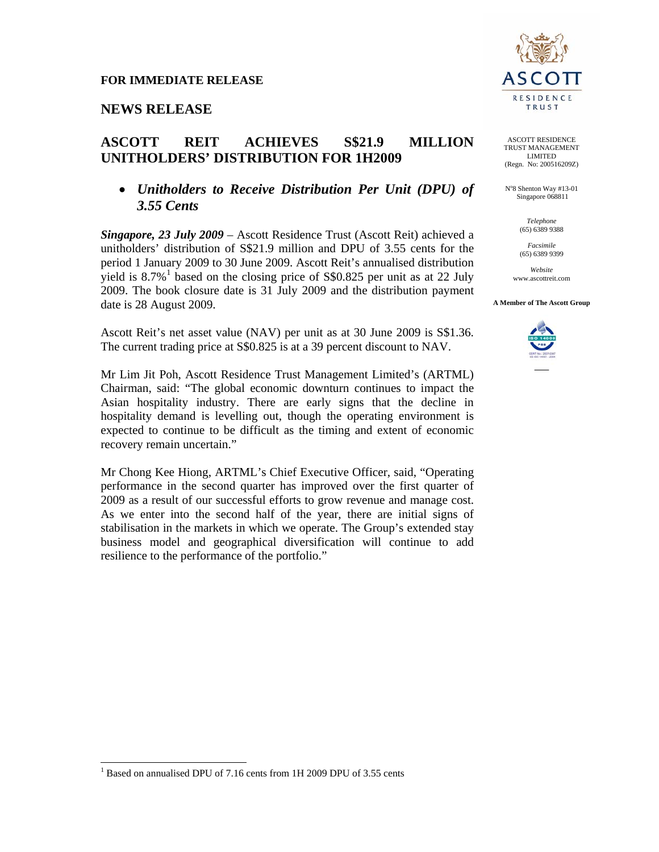## **NEWS RELEASE**

# **ASCOTT REIT ACHIEVES S\$21.9 MILLION UNITHOLDERS' DISTRIBUTION FOR 1H2009**

## • *Unitholders to Receive Distribution Per Unit (DPU) of 3.55 Cents*

*Singapore, 23 July 2009* – Ascott Residence Trust (Ascott Reit) achieved a unitholders' distribution of S\$21.9 million and DPU of 3.55 cents for the period 1 January 2009 to 30 June 2009. Ascott Reit's annualised distribution yield is  $8.7\%$ <sup>1</sup> based on the closing price of S\$0.825 per unit as at 22 July 2009. The book closure date is 31 July 2009 and the distribution payment date is 28 August 2009.

Ascott Reit's net asset value (NAV) per unit as at 30 June 2009 is S\$1.36. The current trading price at S\$0.825 is at a 39 percent discount to NAV.

Mr Lim Jit Poh, Ascott Residence Trust Management Limited's (ARTML) Chairman, said: "The global economic downturn continues to impact the Asian hospitality industry. There are early signs that the decline in hospitality demand is levelling out, though the operating environment is expected to continue to be difficult as the timing and extent of economic recovery remain uncertain."

Mr Chong Kee Hiong, ARTML's Chief Executive Officer, said, "Operating performance in the second quarter has improved over the first quarter of 2009 as a result of our successful efforts to grow revenue and manage cost. As we enter into the second half of the year, there are initial signs of stabilisation in the markets in which we operate. The Group's extended stay business model and geographical diversification will continue to add resilience to the performance of the portfolio."



ASCOTT RESIDENCE TRUST MANAGEMENT LIMITED (Regn. No: 200516209Z)

N°8 Shenton Way #13-01 Singapore 068811

> *Telephone*  (65) 6389 9388

*Facsimile*  (65) 6389 9399

*Website*  www.ascottreit.com

**A Member of The Ascott Group** 



 $\overline{a}$ 

<sup>&</sup>lt;sup>1</sup> Based on annualised DPU of 7.16 cents from 1H 2009 DPU of 3.55 cents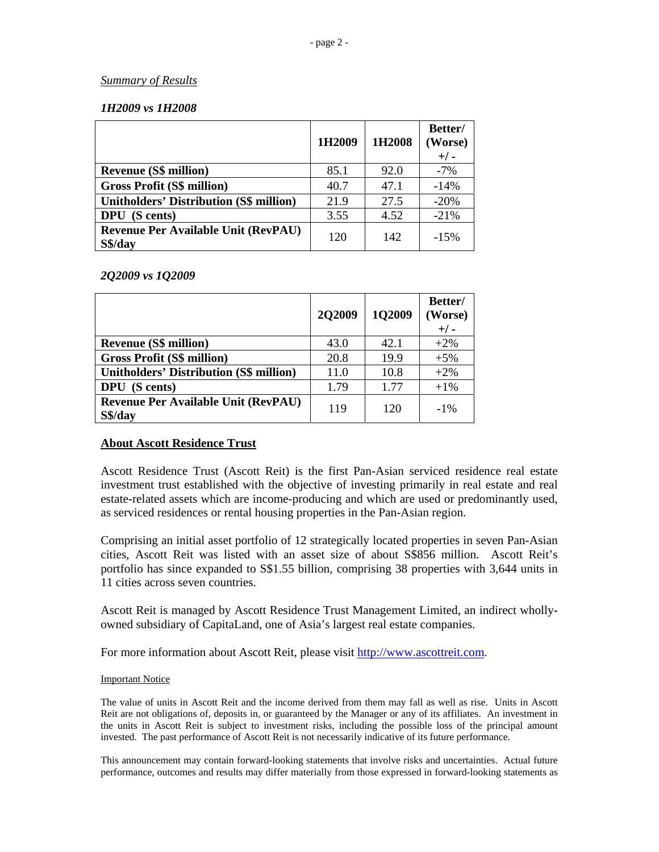## *Summary of Results*

## *1H2009 vs 1H2008*

|                                                       | 1H2009 | 1H2008 | Better/<br>(Worse)<br>$+/-$ |
|-------------------------------------------------------|--------|--------|-----------------------------|
| <b>Revenue (S\$ million)</b>                          | 85.1   | 92.0   | $-7%$                       |
| <b>Gross Profit (S\$ million)</b>                     | 40.7   | 47.1   | $-14%$                      |
| <b>Unitholders' Distribution (S\$ million)</b>        | 21.9   | 27.5   | $-20%$                      |
| <b>DPU</b> (S cents)                                  | 3.55   | 4.52   | $-21%$                      |
| <b>Revenue Per Available Unit (RevPAU)</b><br>S\$/day | 120    | 142    | $-15%$                      |

## *2Q2009 vs 1Q2009*

|                                                       | <b>2Q2009</b> | 1Q2009 | Better/<br>(Worse)<br>$+/-$ |
|-------------------------------------------------------|---------------|--------|-----------------------------|
| <b>Revenue (S\$ million)</b>                          | 43.0          | 42.1   | $+2\%$                      |
| <b>Gross Profit (S\$ million)</b>                     | 20.8          | 19.9   | $+5%$                       |
| <b>Unitholders' Distribution (S\$ million)</b>        | 11.0          | 10.8   | $+2\%$                      |
| <b>DPU</b> (S cents)                                  | 1.79          | 1.77   | $+1\%$                      |
| <b>Revenue Per Available Unit (RevPAU)</b><br>S\$/day | 119           | 120    | $-1\%$                      |

## **About Ascott Residence Trust**

Ascott Residence Trust (Ascott Reit) is the first Pan-Asian serviced residence real estate investment trust established with the objective of investing primarily in real estate and real estate-related assets which are income-producing and which are used or predominantly used, as serviced residences or rental housing properties in the Pan-Asian region.

Comprising an initial asset portfolio of 12 strategically located properties in seven Pan-Asian cities, Ascott Reit was listed with an asset size of about S\$856 million. Ascott Reit's portfolio has since expanded to S\$1.55 billion, comprising 38 properties with 3,644 units in 11 cities across seven countries.

Ascott Reit is managed by Ascott Residence Trust Management Limited, an indirect whollyowned subsidiary of CapitaLand, one of Asia's largest real estate companies.

For more information about Ascott Reit, please visit http://www.ascottreit.com.

### Important Notice

The value of units in Ascott Reit and the income derived from them may fall as well as rise. Units in Ascott Reit are not obligations of, deposits in, or guaranteed by the Manager or any of its affiliates. An investment in the units in Ascott Reit is subject to investment risks, including the possible loss of the principal amount invested. The past performance of Ascott Reit is not necessarily indicative of its future performance.

This announcement may contain forward-looking statements that involve risks and uncertainties. Actual future performance, outcomes and results may differ materially from those expressed in forward-looking statements as